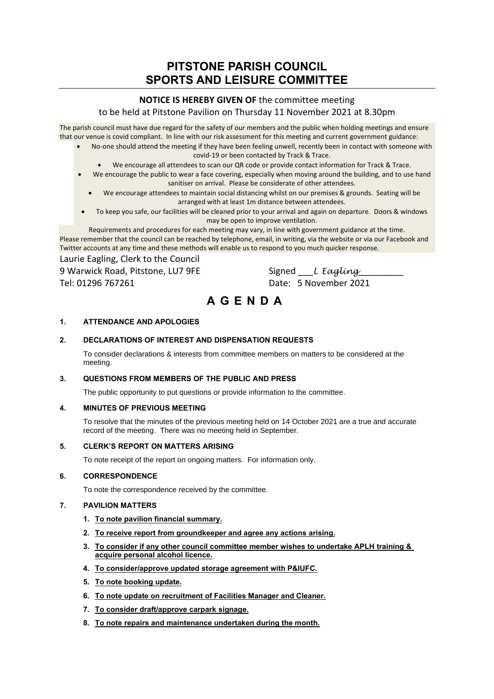# **PITSTONE PARISH COUNCIL SPORTS AND LEISURE COMMITTEE**

## **NOTICE IS HEREBY GIVEN OF** the committee meeting

## to be held at Pitstone Pavilion on Thursday 11 November 2021 at 8.30pm

The parish council must have due regard for the safety of our members and the public when holding meetings and ensure that our venue is covid compliant. In line with our risk assessment for this meeting and current government guidance:

- No-one should attend the meeting if they have been feeling unwell, recently been in contact with someone with covid-19 or been contacted by Track & Trace.
	- We encourage all attendees to scan our QR code or provide contact information for Track & Trace.
- We encourage the public to wear a face covering, especially when moving around the building, and to use hand sanitiser on arrival. Please be considerate of other attendees.
	- We encourage attendees to maintain social distancing whilst on our premises & grounds. Seating will be arranged with at least 1m distance between attendees.
- To keep you safe, our facilities will be cleaned prior to your arrival and again on departure. Doors & windows may be open to improve ventilation.

Requirements and procedures for each meeting may vary, in line with government guidance at the time. Please remember that the council can be reached by telephone, email, in writing, via the website or via our Facebook and Twitter accounts at any time and these methods will enable us to respond to you much quicker response.

Laurie Eagling, Clerk to the Council 9 Warwick Road, Pitstone, LU7 9FE Signed L *Eagling* 

Tel: 01296 767261 Date: 5 November 2021

# **A G E N D A**

## **1. ATTENDANCE AND APOLOGIES**

## **2. DECLARATIONS OF INTEREST AND DISPENSATION REQUESTS**

To consider declarations & interests from committee members on matters to be considered at the meeting.

#### **3. QUESTIONS FROM MEMBERS OF THE PUBLIC AND PRESS**

The public opportunity to put questions or provide information to the committee.

#### **4. MINUTES OF PREVIOUS MEETING**

To resolve that the minutes of the previous meeting held on 14 October 2021 are a true and accurate record of the meeting. There was no meeting held in September.

#### **5. CLERK'S REPORT ON MATTERS ARISING**

To note receipt of the report on ongoing matters. For information only.

#### **6. CORRESPONDENCE**

To note the correspondence received by the committee.

#### **7. PAVILION MATTERS**

- **1. To note pavilion financial summary.**
- **2. To receive report from groundkeeper and agree any actions arising.**
- **3. To consider if any other council committee member wishes to undertake APLH training & acquire personal alcohol licence.**
- **4. To consider/approve updated storage agreement with P&IUFC.**
- **5. To note booking update.**
- **6. To note update on recruitment of Facilities Manager and Cleaner.**
- **7. To consider draft/approve carpark signage.**
- **8. To note repairs and maintenance undertaken during the month.**